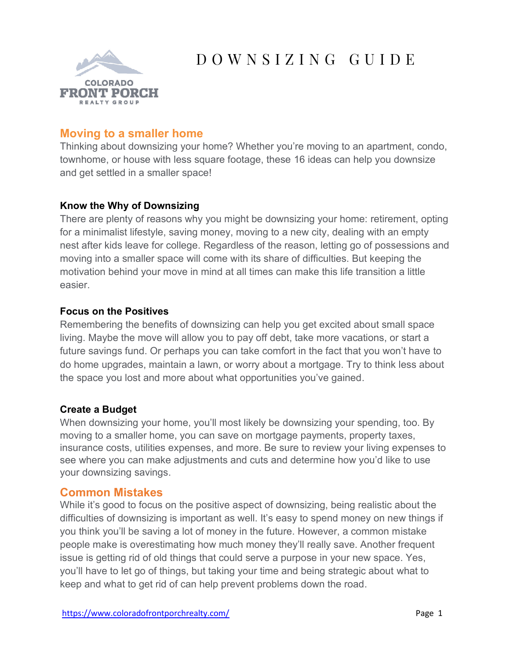

# D O W N S I Z I N G G U I D E

# **Moving to a smaller home**

Thinking about downsizing your home? Whether you're moving to an apartment, condo, townhome, or house with less square footage, these 16 ideas can help you downsize and get settled in a smaller space!

## **Know the Why of Downsizing**

There are plenty of reasons why you might be downsizing your home: retirement, opting for a minimalist lifestyle, saving money, moving to a new city, dealing with an empty nest after kids leave for college. Regardless of the reason, letting go of possessions and moving into a smaller space will come with its share of difficulties. But keeping the motivation behind your move in mind at all times can make this life transition a little easier.

## **Focus on the Positives**

Remembering the benefits of downsizing can help you get excited about small space living. Maybe the move will allow you to pay off debt, take more vacations, or start a future savings fund. Or perhaps you can take comfort in the fact that you won't have to do home upgrades, maintain a lawn, or worry about a mortgage. Try to think less about the space you lost and more about what opportunities you've gained.

## **Create a Budget**

When downsizing your home, you'll most likely be downsizing your spending, too. By moving to a smaller home, you can save on mortgage payments, property taxes, insurance costs, utilities expenses, and more. Be sure to review your living expenses to see where you can make adjustments and cuts and determine how you'd like to use your downsizing savings.

# **Common Mistakes**

While it's good to focus on the positive aspect of downsizing, being realistic about the difficulties of downsizing is important as well. It's easy to spend money on new things if you think you'll be saving a lot of money in the future. However, a common mistake people make is overestimating how much money they'll really save. Another frequent issue is getting rid of old things that could serve a purpose in your new space. Yes, you'll have to let go of things, but taking your time and being strategic about what to keep and what to get rid of can help prevent problems down the road.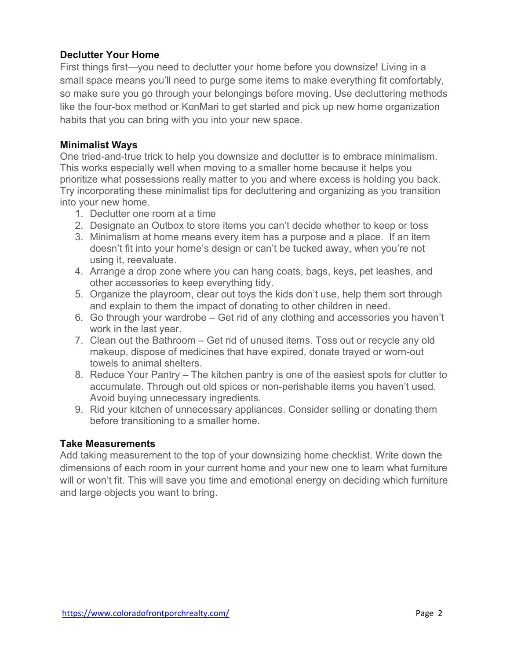## **Declutter Your Home**

First things first—you need to declutter your home before you downsize! Living in a small space means you'll need to purge some items to make everything fit comfortably, so make sure you go through your belongings before moving. Use decluttering methods like the four-box method or KonMari to get started and pick up new home organization habits that you can bring with you into your new space.

#### **Minimalist Ways**

One tried-and-true trick to help you downsize and declutter is to embrace minimalism. This works especially well when moving to a smaller home because it helps you prioritize what possessions really matter to you and where excess is holding you back. Try incorporating these minimalist tips for decluttering and organizing as you transition into your new home.

- 1. Declutter one room at a time
- 2. Designate an Outbox to store items you can't decide whether to keep or toss
- 3. Minimalism at home means every item has a purpose and a place. If an item doesn't fit into your home's design or can't be tucked away, when you're not using it, reevaluate.
- 4. Arrange a drop zone where you can hang coats, bags, keys, pet leashes, and other accessories to keep everything tidy.
- 5. Organize the playroom, clear out toys the kids don't use, help them sort through and explain to them the impact of donating to other children in need.
- 6. Go through your wardrobe Get rid of any clothing and accessories you haven't work in the last year.
- 7. Clean out the Bathroom Get rid of unused items. Toss out or recycle any old makeup, dispose of medicines that have expired, donate trayed or worn-out towels to animal shelters.
- 8. Reduce Your Pantry The kitchen pantry is one of the easiest spots for clutter to accumulate. Through out old spices or non-perishable items you haven't used. Avoid buying unnecessary ingredients.
- 9. Rid your kitchen of unnecessary appliances. Consider selling or donating them before transitioning to a smaller home.

## **Take Measurements**

Add taking measurement to the top of your downsizing home checklist. Write down the dimensions of each room in your current home and your new one to learn what furniture will or won't fit. This will save you time and emotional energy on deciding which furniture and large objects you want to bring.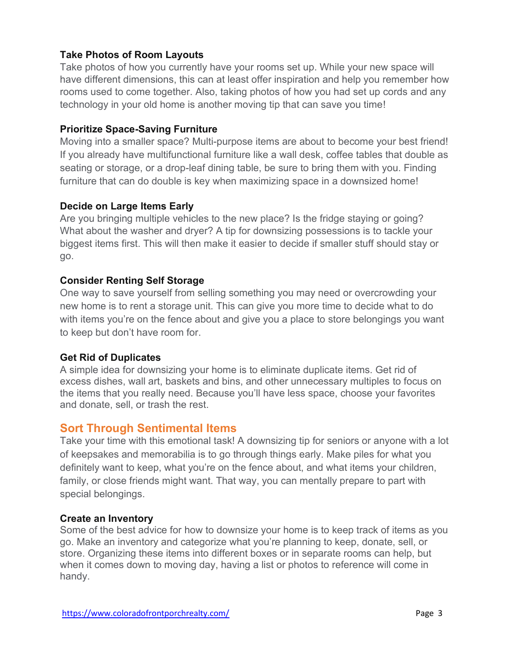## **Take Photos of Room Layouts**

Take photos of how you currently have your rooms set up. While your new space will have different dimensions, this can at least offer inspiration and help you remember how rooms used to come together. Also, taking photos of how you had set up cords and any technology in your old home is another moving tip that can save you time!

#### **Prioritize Space-Saving Furniture**

Moving into a smaller space? Multi-purpose items are about to become your best friend! If you already have multifunctional furniture like a wall desk, coffee tables that double as seating or storage, or a drop-leaf dining table, be sure to bring them with you. Finding furniture that can do double is key when maximizing space in a downsized home!

## **Decide on Large Items Early**

Are you bringing multiple vehicles to the new place? Is the fridge staying or going? What about the washer and dryer? A tip for downsizing possessions is to tackle your biggest items first. This will then make it easier to decide if smaller stuff should stay or go.

#### **Consider Renting Self Storage**

One way to save yourself from selling something you may need or overcrowding your new home is to rent a storage unit. This can give you more time to decide what to do with items you're on the fence about and give you a place to store belongings you want to keep but don't have room for.

## **Get Rid of Duplicates**

A simple idea for downsizing your home is to eliminate duplicate items. Get rid of excess dishes, wall art, baskets and bins, and other unnecessary multiples to focus on the items that you really need. Because you'll have less space, choose your favorites and donate, sell, or trash the rest.

# **Sort Through Sentimental Items**

Take your time with this emotional task! A downsizing tip for seniors or anyone with a lot of keepsakes and memorabilia is to go through things early. Make piles for what you definitely want to keep, what you're on the fence about, and what items your children, family, or close friends might want. That way, you can mentally prepare to part with special belongings.

#### **Create an Inventory**

Some of the best advice for how to downsize your home is to keep track of items as you go. Make an inventory and categorize what you're planning to keep, donate, sell, or store. Organizing these items into different boxes or in separate rooms can help, but when it comes down to moving day, having a list or photos to reference will come in handy.